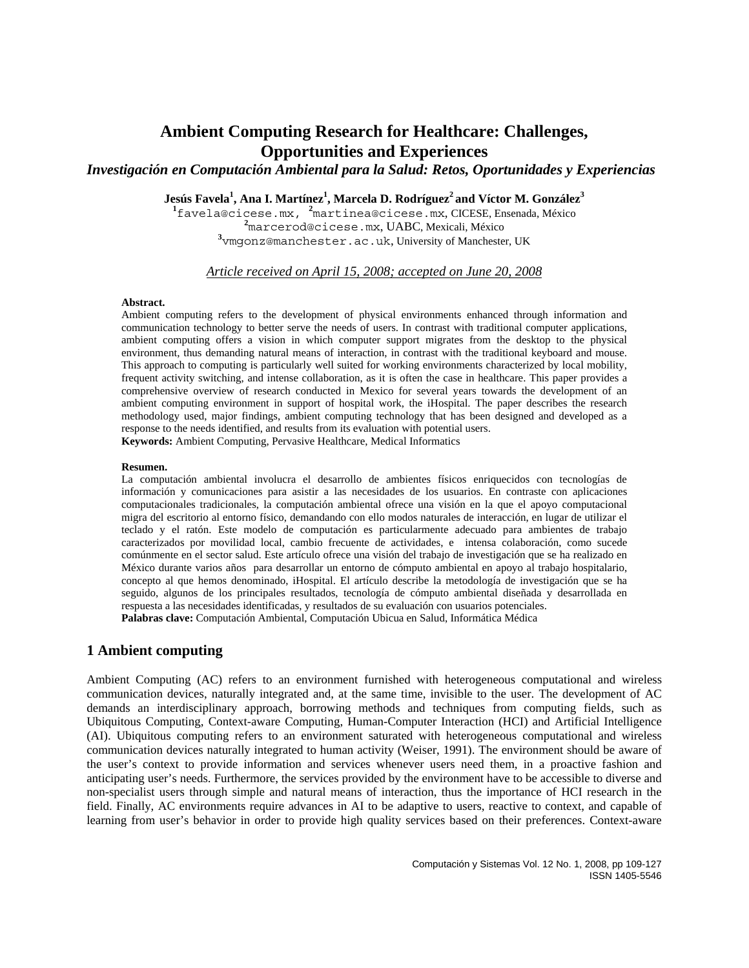*Investigación en Computación Ambiental para la Salud: Retos, Oportunidades y Experiencias*

Jesús Favela<sup>1</sup>, Ana I. Martínez<sup>1</sup>, Marcela D. Rodríguez<sup>2</sup> and Víctor M. González<sup>3</sup>

<sup>1</sup> favela@cicese.mx, <sup>2</sup> martinea@cicese.mx, CICESE, Ensenada, México **2**<br><sup>2</sup> margamed@sisese\_my\_UAPC\_Mariaeli Máxico marcerod@cicese.mx, UABC, Mexicali, México **3** vmgonz@manchester.ac.uk, University of Manchester, UK

*Article received on April 15, 2008; accepted on June 20, 2008*

#### **Abstract.**

Ambient computing refers to the development of physical environments enhanced through information and communication technology to better serve the needs of users. In contrast with traditional computer applications, ambient computing offers a vision in which computer support migrates from the desktop to the physical environment, thus demanding natural means of interaction, in contrast with the traditional keyboard and mouse. This approach to computing is particularly well suited for working environments characterized by local mobility, frequent activity switching, and intense collaboration, as it is often the case in healthcare. This paper provides a comprehensive overview of research conducted in Mexico for several years towards the development of an ambient computing environment in support of hospital work, the iHospital. The paper describes the research methodology used, major findings, ambient computing technology that has been designed and developed as a response to the needs identified, and results from its evaluation with potential users.

**Keywords:** Ambient Computing, Pervasive Healthcare, Medical Informatics

#### **Resumen.**

La computación ambiental involucra el desarrollo de ambientes físicos enriquecidos con tecnologías de información y comunicaciones para asistir a las necesidades de los usuarios. En contraste con aplicaciones computacionales tradicionales, la computación ambiental ofrece una visión en la que el apoyo computacional migra del escritorio al entorno físico, demandando con ello modos naturales de interacción, en lugar de utilizar el teclado y el ratón. Este modelo de computación es particularmente adecuado para ambientes de trabajo caracterizados por movilidad local, cambio frecuente de actividades, e intensa colaboración, como sucede comúnmente en el sector salud. Este artículo ofrece una visión del trabajo de investigación que se ha realizado en México durante varios años para desarrollar un entorno de cómputo ambiental en apoyo al trabajo hospitalario, concepto al que hemos denominado, iHospital. El artículo describe la metodología de investigación que se ha seguido, algunos de los principales resultados, tecnología de cómputo ambiental diseñada y desarrollada en respuesta a las necesidades identificadas, y resultados de su evaluación con usuarios potenciales. **Palabras clave:** Computación Ambiental, Computación Ubicua en Salud, Informática Médica

# **1 Ambient computing**

Ambient Computing (AC) refers to an environment furnished with heterogeneous computational and wireless communication devices, naturally integrated and, at the same time, invisible to the user. The development of AC demands an interdisciplinary approach, borrowing methods and techniques from computing fields, such as Ubiquitous Computing, Context-aware Computing, Human-Computer Interaction (HCI) and Artificial Intelligence (AI). Ubiquitous computing refers to an environment saturated with heterogeneous computational and wireless communication devices naturally integrated to human activity (Weiser, 1991). The environment should be aware of the user's context to provide information and services whenever users need them, in a proactive fashion and anticipating user's needs. Furthermore, the services provided by the environment have to be accessible to diverse and non-specialist users through simple and natural means of interaction, thus the importance of HCI research in the field. Finally, AC environments require advances in AI to be adaptive to users, reactive to context, and capable of learning from user's behavior in order to provide high quality services based on their preferences. Context-aware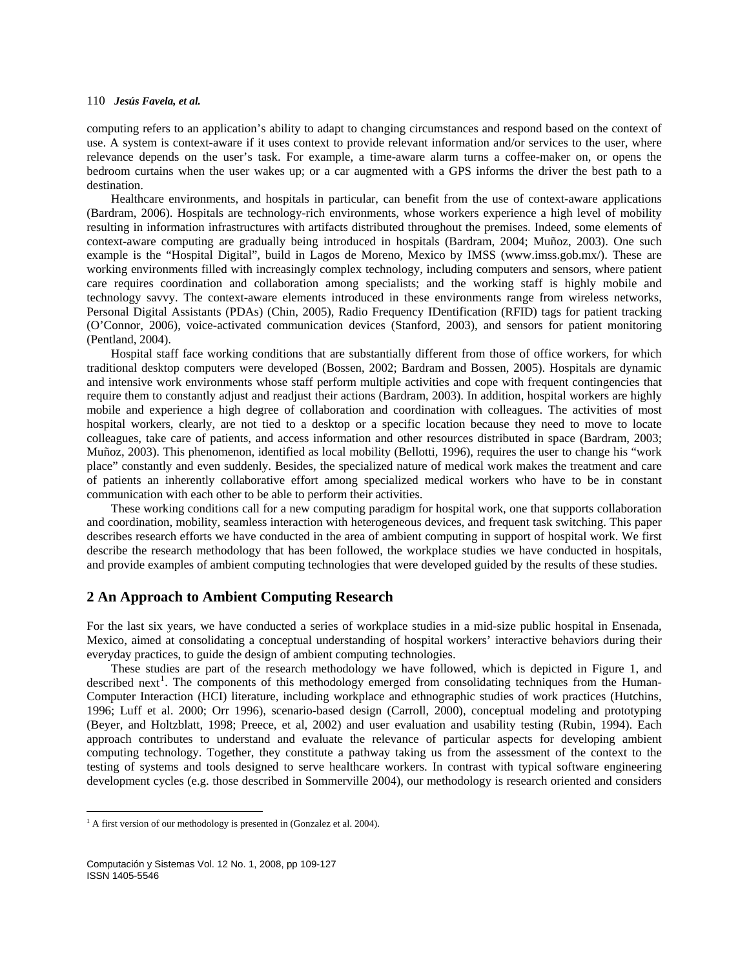computing refers to an application's ability to adapt to changing circumstances and respond based on the context of use. A system is context-aware if it uses context to provide relevant information and/or services to the user, where relevance depends on the user's task. For example, a time-aware alarm turns a coffee-maker on, or opens the bedroom curtains when the user wakes up; or a car augmented with a GPS informs the driver the best path to a destination.

Healthcare environments, and hospitals in particular, can benefit from the use of context-aware applications (Bardram, 2006). Hospitals are technology-rich environments, whose workers experience a high level of mobility resulting in information infrastructures with artifacts distributed throughout the premises. Indeed, some elements of context-aware computing are gradually being introduced in hospitals (Bardram, 2004; Muñoz, 2003). One such example is the "Hospital Digital", build in Lagos de Moreno, Mexico by IMSS (www.imss.gob.mx/). These are working environments filled with increasingly complex technology, including computers and sensors, where patient care requires coordination and collaboration among specialists; and the working staff is highly mobile and technology savvy. The context-aware elements introduced in these environments range from wireless networks, Personal Digital Assistants (PDAs) (Chin, 2005), Radio Frequency IDentification (RFID) tags for patient tracking (O'Connor, 2006), voice-activated communication devices (Stanford, 2003), and sensors for patient monitoring (Pentland, 2004).

Hospital staff face working conditions that are substantially different from those of office workers, for which traditional desktop computers were developed (Bossen, 2002; Bardram and Bossen, 2005). Hospitals are dynamic and intensive work environments whose staff perform multiple activities and cope with frequent contingencies that require them to constantly adjust and readjust their actions (Bardram, 2003). In addition, hospital workers are highly mobile and experience a high degree of collaboration and coordination with colleagues. The activities of most hospital workers, clearly, are not tied to a desktop or a specific location because they need to move to locate colleagues, take care of patients, and access information and other resources distributed in space (Bardram, 2003; Muñoz, 2003). This phenomenon, identified as local mobility (Bellotti, 1996), requires the user to change his "work place" constantly and even suddenly. Besides, the specialized nature of medical work makes the treatment and care of patients an inherently collaborative effort among specialized medical workers who have to be in constant communication with each other to be able to perform their activities.

These working conditions call for a new computing paradigm for hospital work, one that supports collaboration and coordination, mobility, seamless interaction with heterogeneous devices, and frequent task switching. This paper describes research efforts we have conducted in the area of ambient computing in support of hospital work. We first describe the research methodology that has been followed, the workplace studies we have conducted in hospitals, and provide examples of ambient computing technologies that were developed guided by the results of these studies.

# **2 An Approach to Ambient Computing Research**

For the last six years, we have conducted a series of workplace studies in a mid-size public hospital in Ensenada, Mexico, aimed at consolidating a conceptual understanding of hospital workers' interactive behaviors during their everyday practices, to guide the design of ambient computing technologies.

development cycles (e.g. those desc ribed in Sommerville 2004), our methodology is research oriented and considers These studies are part of the research methodology we have followed, which is depicted in Figure 1, and described next<sup>[1](#page-1-0)</sup>. The components of this methodology emerged from consolidating techniques from the Human-Computer Interaction (HCI) literature, including workplace and ethnographic studies of work practices (Hutchins, 1996; Luff et al. 2000; Orr 1996), scenario-based design (Carroll, 2000), conceptual modeling and prototyping (Beyer, and Holtzblatt, 1998; Preece, et al, 2002) and user evaluation and usability testing (Rubin, 1994). Each approach contributes to understand and evaluate the relevance of particular aspects for developing ambient computing technology. Together, they constitute a pathway taking us from the assessment of the context to the testing of systems and tools designed to serve healthcare workers. In contrast with typical software engineering

<span id="page-1-0"></span><sup>&</sup>lt;sup>1</sup> A first version of our methodology is presented in (Gonzalez et al. 2004).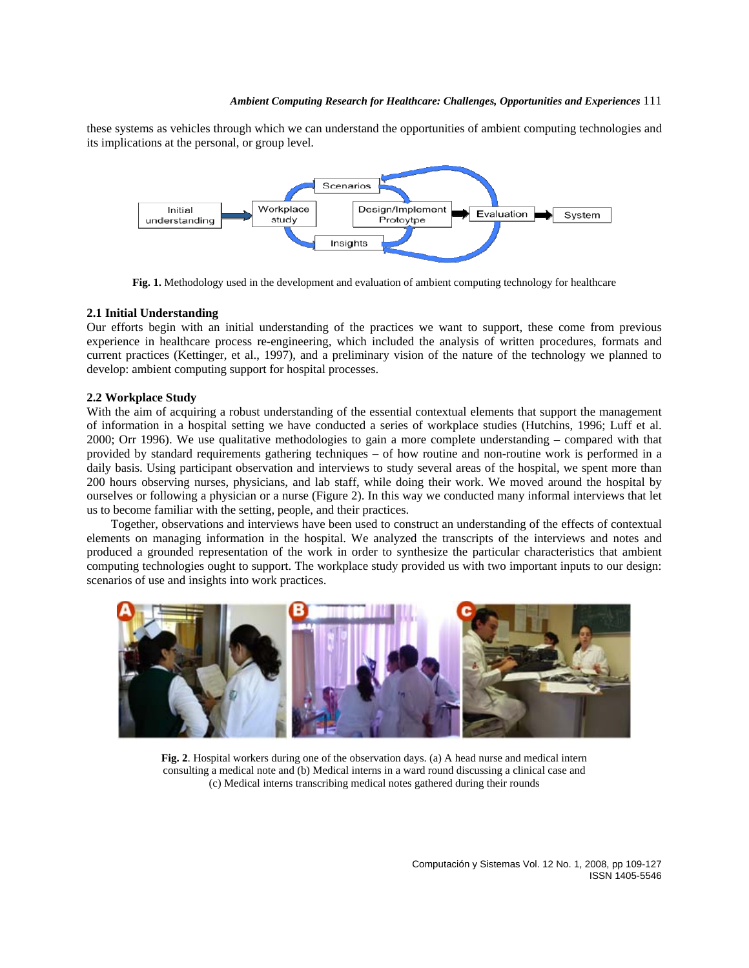these systems as vehicles through which we can understand the opportunities of ambient computing technologies and its implications at the personal, or group level.



**Fig. 1.** Methodology used in the development and evaluation of ambient computing technology for healthcare

# **2.1 Initial Understanding**

Our efforts begin with an initial understanding of the practices we want to support, these come from previous experience in healthcare process re-engineering, which included the analysis of written procedures, formats and current practices (Kettinger, et al., 1997), and a preliminary vision of the nature of the technology we planned to develop: ambient computing support for hospital processes.

# **2.2 Workplace Study**

With the aim of acquiring a robust understanding of the essential contextual elements that support the management of information in a hospital setting we have conducted a series of workplace studies (Hutchins, 1996; Luff et al. 2000; Orr 1996). We use qualitative methodologies to gain a more complete understanding – compared with that provided by standard requirements gathering techniques – of how routine and non-routine work is performed in a daily basis. Using participant observation and interviews to study several areas of the hospital, we spent more than 200 hours observing nurses, physicians, and lab staff, while doing their work. We moved around the hospital by ourselves or following a physician or a nurse (Figure 2). In this way we conducted many informal interviews that let us to become familiar with the setting, people, and their practices.

Together, observations and interviews have been used to construct an understanding of the effects of contextual elements on managing information in the hospital. We analyzed the transcripts of the interviews and notes and produced a grounded representation of the work in order to synthesize the particular characteristics that ambient computing technologies ought to support. The workplace study provided us with two important inputs to our design: scenarios of use and insights into work practices.



**Fig. 2**. Hospital workers during one of the observation days. (a) A head nurse and medical intern consulting a medical note and (b) Medical interns in a ward round discussing a clinical case and (c) Medical interns transcribing medical notes gathered during their rounds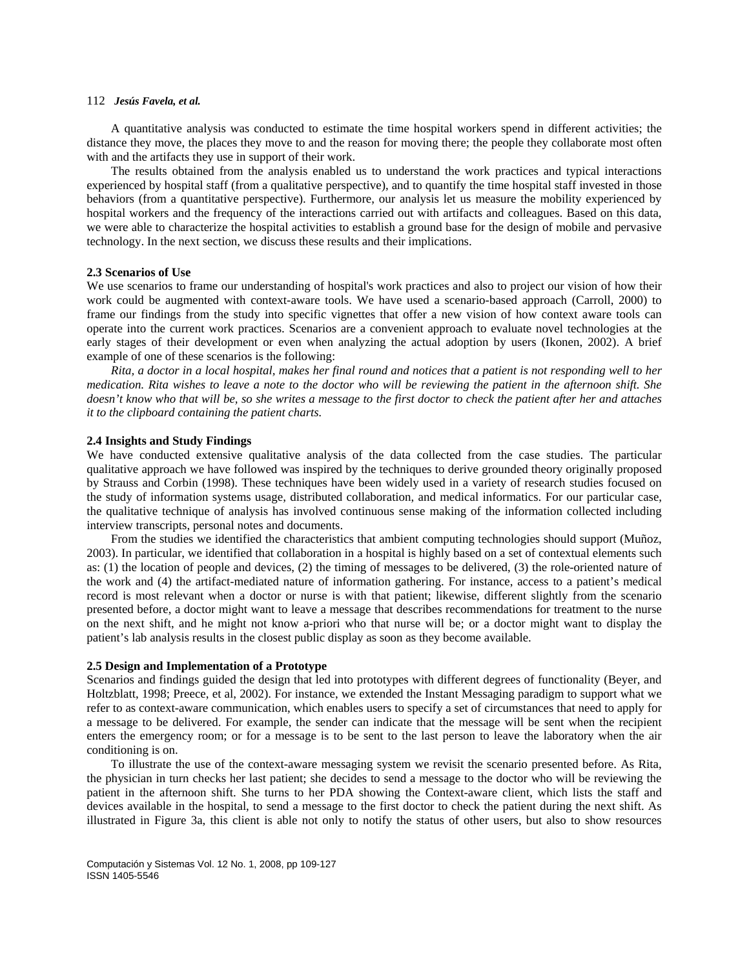A quantitative analysis was conducted to estimate the time hospital workers spend in different activities; the distance they move, the places they move to and the reason for moving there; the people they collaborate most often with and the artifacts they use in support of their work.

The results obtained from the analysis enabled us to understand the work practices and typical interactions experienced by hospital staff (from a qualitative perspective), and to quantify the time hospital staff invested in those behaviors (from a quantitative perspective). Furthermore, our analysis let us measure the mobility experienced by hospital workers and the frequency of the interactions carried out with artifacts and colleagues. Based on this data, we were able to characterize the hospital activities to establish a ground base for the design of mobile and pervasive technology. In the next section, we discuss these results and their implications.

### **2.3 Scenarios of Use**

We use scenarios to frame our understanding of hospital's work practices and also to project our vision of how their work could be augmented with context-aware tools. We have used a scenario-based approach (Carroll, 2000) to frame our findings from the study into specific vignettes that offer a new vision of how context aware tools can operate into the current work practices. Scenarios are a convenient approach to evaluate novel technologies at the early stages of their development or even when analyzing the actual adoption by users (Ikonen, 2002). A brief example of one of these scenarios is the following:

*Rita, a doctor in a local hospital, makes her final round and notices that a patient is not responding well to her medication. Rita wishes to leave a note to the doctor who will be reviewing the patient in the afternoon shift. She doesn't know who that will be, so she writes a message to the first doctor to check the patient after her and attaches it to the clipboard containing the patient charts.* 

### **2.4 Insights and Study Findings**

We have conducted extensive qualitative analysis of the data collected from the case studies. The particular qualitative approach we have followed was inspired by the techniques to derive grounded theory originally proposed by Strauss and Corbin (1998). These techniques have been widely used in a variety of research studies focused on the study of information systems usage, distributed collaboration, and medical informatics. For our particular case, the qualitative technique of analysis has involved continuous sense making of the information collected including interview transcripts, personal notes and documents.

From the studies we identified the characteristics that ambient computing technologies should support (Muñoz, 2003). In particular, we identified that collaboration in a hospital is highly based on a set of contextual elements such as: (1) the location of people and devices, (2) the timing of messages to be delivered, (3) the role-oriented nature of the work and (4) the artifact-mediated nature of information gathering. For instance, access to a patient's medical record is most relevant when a doctor or nurse is with that patient; likewise, different slightly from the scenario presented before, a doctor might want to leave a message that describes recommendations for treatment to the nurse on the next shift, and he might not know a-priori who that nurse will be; or a doctor might want to display the patient's lab analysis results in the closest public display as soon as they become available.

# **2.5 Design and Implementation of a Prototype**

Scenarios and findings guided the design that led into prototypes with different degrees of functionality (Beyer, and Holtzblatt, 1998; Preece, et al, 2002). For instance, we extended the Instant Messaging paradigm to support what we refer to as context-aware communication, which enables users to specify a set of circumstances that need to apply for a message to be delivered. For example, the sender can indicate that the message will be sent when the recipient enters the emergency room; or for a message is to be sent to the last person to leave the laboratory when the air conditioning is on.

To illustrate the use of the context-aware messaging system we revisit the scenario presented before. As Rita, the physician in turn checks her last patient; she decides to send a message to the doctor who will be reviewing the patient in the afternoon shift. She turns to her PDA showing the Context-aware client, which lists the staff and devices available in the hospital, to send a message to the first doctor to check the patient during the next shift. As illustrated in Figure 3a, this client is able not only to notify the status of other users, but also to show resources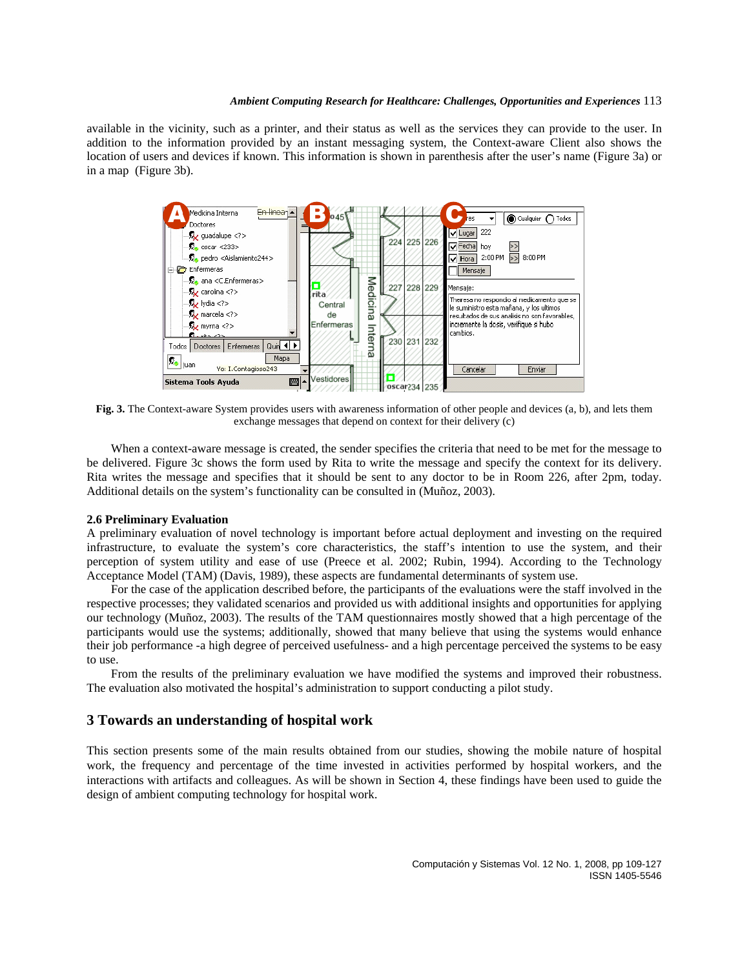available in the vicinity, such as a printer, and their status as well as the services they can provide to the user. In addition to the information provided by an instant messaging system, the Context-aware Client also shows the location of users and devices if known. This information is shown in parenthesis after the user's name (Figure 3a) or in a map (Figure 3b).



**Fig. 3.** The Context-aware System provides users with awareness information of other people and devices (a, b), and lets them exchange messages that depend on context for their delivery (c)

When a context-aware message is created, the sender specifies the criteria that need to be met for the message to be delivered. Figure 3c shows the form used by Rita to write the message and specify the context for its delivery. Rita writes the message and specifies that it should be sent to any doctor to be in Room 226, after 2pm, today. Additional details on the system's functionality can be consulted in (Muñoz, 2003).

### **2.6 Preliminary Evaluation**

A preliminary evaluation of novel technology is important before actual deployment and investing on the required infrastructure, to evaluate the system's core characteristics, the staff's intention to use the system, and their perception of system utility and ease of use (Preece et al. 2002; Rubin, 1994). According to the Technology Acceptance Model (TAM) (Davis, 1989), these aspects are fundamental determinants of system use.

For the case of the application described before, the participants of the evaluations were the staff involved in the respective processes; they validated scenarios and provided us with additional insights and opportunities for applying our technology (Muñoz, 2003). The results of the TAM questionnaires mostly showed that a high percentage of the participants would use the systems; additionally, showed that many believe that using the systems would enhance their job performance -a high degree of perceived usefulness- and a high percentage perceived the systems to be easy to use.

From the results of the preliminary evaluation we have modified the systems and improved their robustness. The evaluation also motivated the hospital's administration to support conducting a pilot study.

# **3 Towards an understanding of hospital work**

This section presents some of the main results obtained from our studies, showing the mobile nature of hospital work, the frequency and percentage of the time invested in activities performed by hospital workers, and the interactions with artifacts and colleagues. As will be shown in Section 4, these findings have been used to guide the design of ambient computing technology for hospital work.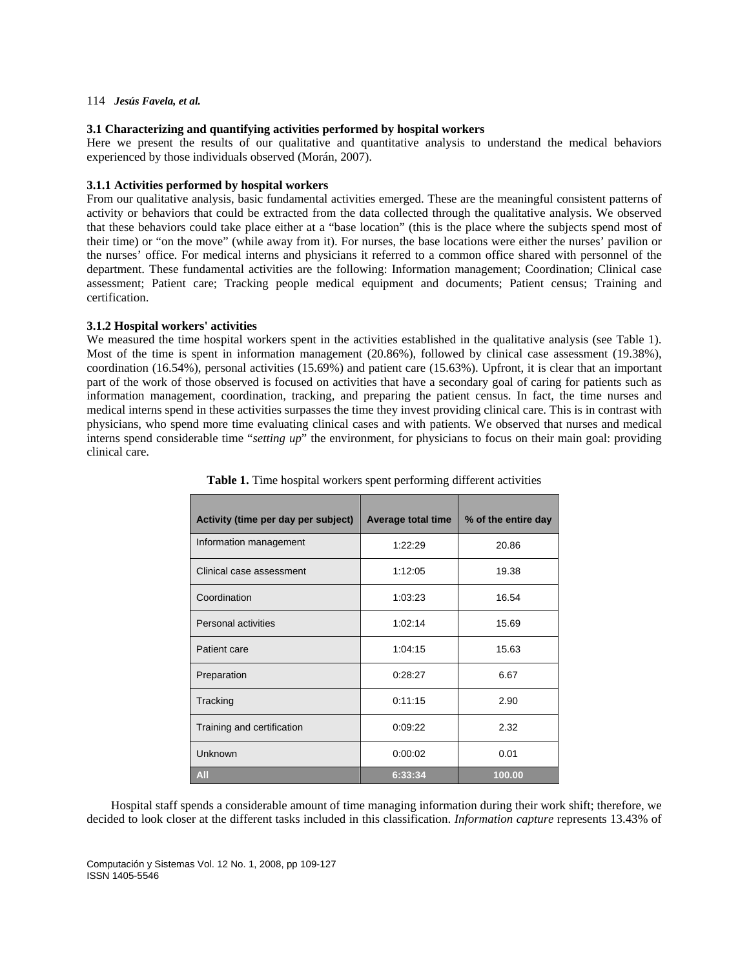# **3.1 Characterizing and quantifying activities performed by hospital workers**

Here we present the results of our qualitative and quantitative analysis to understand the medical behaviors experienced by those individuals observed (Morán, 2007).

# **3.1.1 Activities performed by hospital workers**

From our qualitative analysis, basic fundamental activities emerged. These are the meaningful consistent patterns of activity or behaviors that could be extracted from the data collected through the qualitative analysis. We observed that these behaviors could take place either at a "base location" (this is the place where the subjects spend most of their time) or "on the move" (while away from it). For nurses, the base locations were either the nurses' pavilion or the nurses' office. For medical interns and physicians it referred to a common office shared with personnel of the department. These fundamental activities are the following: Information management; Coordination; Clinical case assessment; Patient care; Tracking people medical equipment and documents; Patient census; Training and certification.

# **3.1.2 Hospital workers' activities**

We measured the time hospital workers spent in the activities established in the qualitative analysis (see Table 1). Most of the time is spent in information management (20.86%), followed by clinical case assessment (19.38%), coordination (16.54%), personal activities (15.69%) and patient care (15.63%). Upfront, it is clear that an important part of the work of those observed is focused on activities that have a secondary goal of caring for patients such as information management, coordination, tracking, and preparing the patient census. In fact, the time nurses and medical interns spend in these activities surpasses the time they invest providing clinical care. This is in contrast with physicians, who spend more time evaluating clinical cases and with patients. We observed that nurses and medical interns spend considerable time "*setting up*" the environment, for physicians to focus on their main goal: providing clinical care.

| Activity (time per day per subject) | <b>Average total time</b> | % of the entire day |
|-------------------------------------|---------------------------|---------------------|
| Information management              | 1:22:29                   | 20.86               |
| Clinical case assessment            | 1:12:05                   | 19.38               |
| Coordination                        | 1:03:23                   | 16.54               |
| <b>Personal activities</b>          | 1:02:14                   | 15.69               |
| Patient care                        | 1:04:15                   | 15.63               |
| Preparation                         | 0.28.27                   | 6.67                |
| Tracking                            | 0:11:15                   | 2.90                |
| Training and certification          | 0:09:22                   | 2.32                |
| Unknown                             | 0:00:02                   | 0.01                |
| AII                                 | 6:33:34                   | 100.00              |

**Table 1.** Time hospital workers spent performing different activities

Hospital staff spends a considerable amount of time managing information during their work shift; therefore, we decided to look closer at the different tasks included in this classification. *Information capture* represents 13.43% of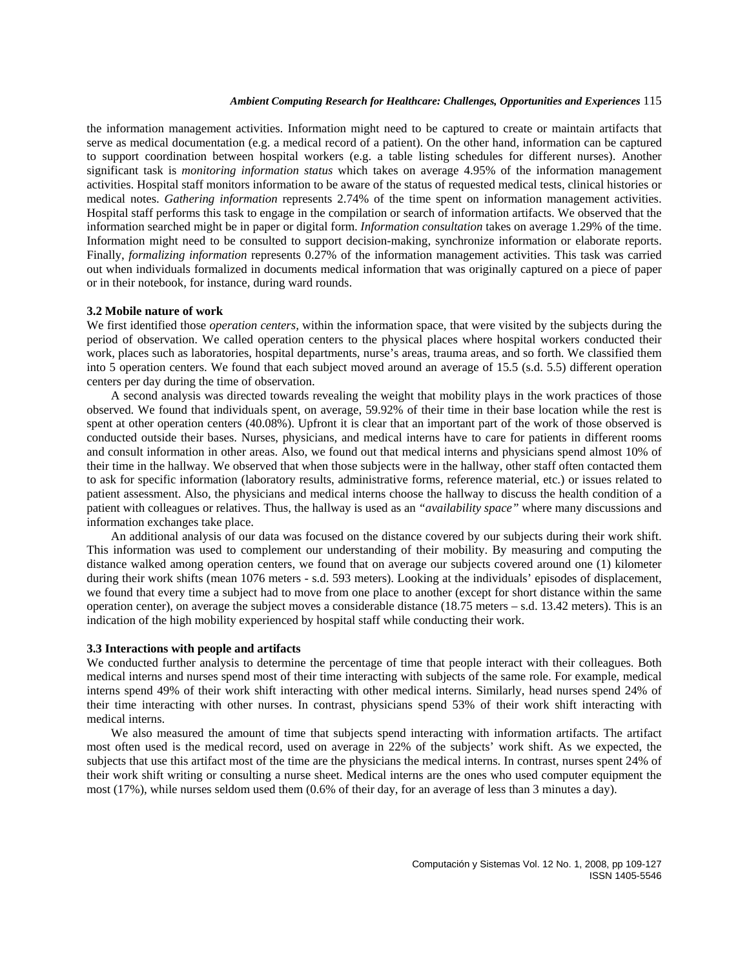the information management activities. Information might need to be captured to create or maintain artifacts that serve as medical documentation (e.g. a medical record of a patient). On the other hand, information can be captured to support coordination between hospital workers (e.g. a table listing schedules for different nurses). Another significant task is *monitoring information status* which takes on average 4.95% of the information management activities. Hospital staff monitors information to be aware of the status of requested medical tests, clinical histories or medical notes. *Gathering information* represents 2.74% of the time spent on information management activities. Hospital staff performs this task to engage in the compilation or search of information artifacts. We observed that the information searched might be in paper or digital form. *Information consultation* takes on average 1.29% of the time. Information might need to be consulted to support decision-making, synchronize information or elaborate reports. Finally, *formalizing information* represents 0.27% of the information management activities. This task was carried out when individuals formalized in documents medical information that was originally captured on a piece of paper or in their notebook, for instance, during ward rounds.

### **3.2 Mobile nature of work**

We first identified those *operation centers,* within the information space, that were visited by the subjects during the period of observation. We called operation centers to the physical places where hospital workers conducted their work, places such as laboratories, hospital departments, nurse's areas, trauma areas, and so forth. We classified them into 5 operation centers. We found that each subject moved around an average of 15.5 (s.d. 5.5) different operation centers per day during the time of observation.

A second analysis was directed towards revealing the weight that mobility plays in the work practices of those observed. We found that individuals spent, on average, 59.92% of their time in their base location while the rest is spent at other operation centers (40.08%). Upfront it is clear that an important part of the work of those observed is conducted outside their bases. Nurses, physicians, and medical interns have to care for patients in different rooms and consult information in other areas. Also, we found out that medical interns and physicians spend almost 10% of their time in the hallway. We observed that when those subjects were in the hallway, other staff often contacted them to ask for specific information (laboratory results, administrative forms, reference material, etc.) or issues related to patient assessment. Also, the physicians and medical interns choose the hallway to discuss the health condition of a patient with colleagues or relatives. Thus, the hallway is used as an *"availability space"* where many discussions and information exchanges take place.

An additional analysis of our data was focused on the distance covered by our subjects during their work shift. This information was used to complement our understanding of their mobility. By measuring and computing the distance walked among operation centers, we found that on average our subjects covered around one (1) kilometer during their work shifts (mean 1076 meters - s.d. 593 meters). Looking at the individuals' episodes of displacement, we found that every time a subject had to move from one place to another (except for short distance within the same operation center), on average the subject moves a considerable distance  $(18.75 \text{ meters} - \text{s.d. } 13.42 \text{ meters})$ . This is an indication of the high mobility experienced by hospital staff while conducting their work.

#### **3.3 Interactions with people and artifacts**

We conducted further analysis to determine the percentage of time that people interact with their colleagues. Both medical interns and nurses spend most of their time interacting with subjects of the same role. For example, medical interns spend 49% of their work shift interacting with other medical interns. Similarly, head nurses spend 24% of their time interacting with other nurses. In contrast, physicians spend 53% of their work shift interacting with medical interns.

We also measured the amount of time that subjects spend interacting with information artifacts. The artifact most often used is the medical record, used on average in 22% of the subjects' work shift. As we expected, the subjects that use this artifact most of the time are the physicians the medical interns. In contrast, nurses spent 24% of their work shift writing or consulting a nurse sheet. Medical interns are the ones who used computer equipment the most (17%), while nurses seldom used them (0.6% of their day, for an average of less than 3 minutes a day).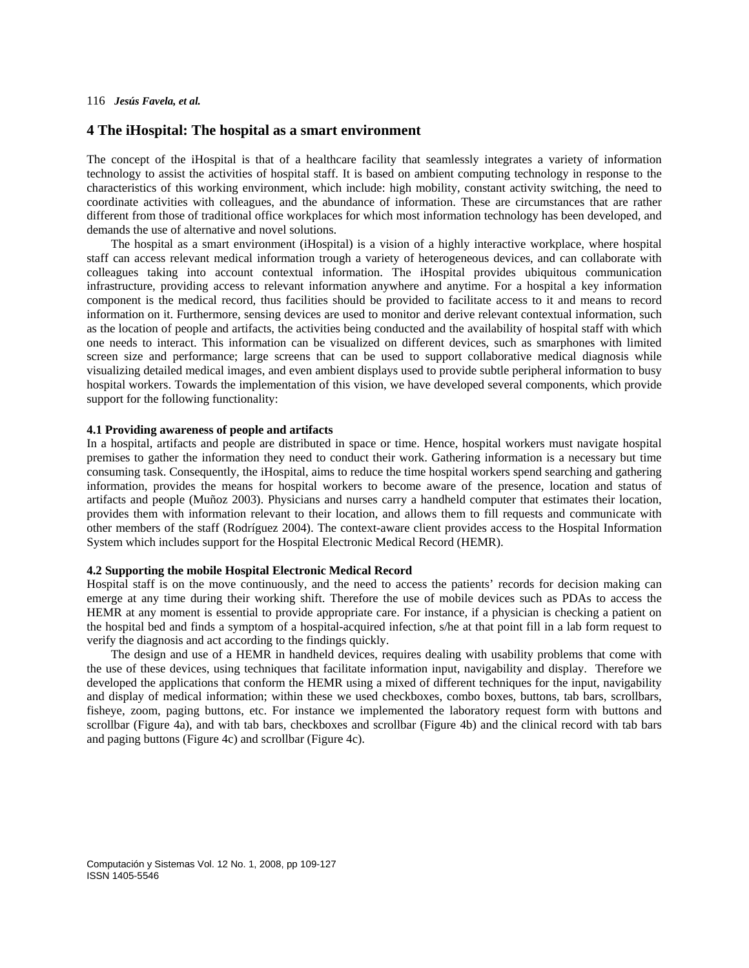# **4 The iHospital: The hospital as a smart environment**

The concept of the iHospital is that of a healthcare facility that seamlessly integrates a variety of information technology to assist the activities of hospital staff. It is based on ambient computing technology in response to the characteristics of this working environment, which include: high mobility, constant activity switching, the need to coordinate activities with colleagues, and the abundance of information. These are circumstances that are rather different from those of traditional office workplaces for which most information technology has been developed, and demands the use of alternative and novel solutions.

The hospital as a smart environment (iHospital) is a vision of a highly interactive workplace, where hospital staff can access relevant medical information trough a variety of heterogeneous devices, and can collaborate with colleagues taking into account contextual information. The iHospital provides ubiquitous communication infrastructure, providing access to relevant information anywhere and anytime. For a hospital a key information component is the medical record, thus facilities should be provided to facilitate access to it and means to record information on it. Furthermore, sensing devices are used to monitor and derive relevant contextual information, such as the location of people and artifacts, the activities being conducted and the availability of hospital staff with which one needs to interact. This information can be visualized on different devices, such as smarphones with limited screen size and performance; large screens that can be used to support collaborative medical diagnosis while visualizing detailed medical images, and even ambient displays used to provide subtle peripheral information to busy hospital workers. Towards the implementation of this vision, we have developed several components, which provide support for the following functionality:

# **4.1 Providing awareness of people and artifacts**

In a hospital, artifacts and people are distributed in space or time. Hence, hospital workers must navigate hospital premises to gather the information they need to conduct their work. Gathering information is a necessary but time consuming task. Consequently, the iHospital, aims to reduce the time hospital workers spend searching and gathering information, provides the means for hospital workers to become aware of the presence, location and status of artifacts and people (Muñoz 2003). Physicians and nurses carry a handheld computer that estimates their location, provides them with information relevant to their location, and allows them to fill requests and communicate with other members of the staff (Rodríguez 2004). The context-aware client provides access to the Hospital Information System which includes support for the Hospital Electronic Medical Record (HEMR).

# **4.2 Supporting the mobile Hospital Electronic Medical Record**

Hospital staff is on the move continuously, and the need to access the patients' records for decision making can emerge at any time during their working shift. Therefore the use of mobile devices such as PDAs to access the HEMR at any moment is essential to provide appropriate care. For instance, if a physician is checking a patient on the hospital bed and finds a symptom of a hospital-acquired infection, s/he at that point fill in a lab form request to verify the diagnosis and act according to the findings quickly.

The design and use of a HEMR in handheld devices, requires dealing with usability problems that come with the use of these devices, using techniques that facilitate information input, navigability and display. Therefore we developed the applications that conform the HEMR using a mixed of different techniques for the input, navigability and display of medical information; within these we used checkboxes, combo boxes, buttons, tab bars, scrollbars, fisheye, zoom, paging buttons, etc. For instance we implemented the laboratory request form with buttons and scrollbar (Figure 4a), and with tab bars, checkboxes and scrollbar (Figure 4b) and the clinical record with tab bars and paging buttons (Figure 4c) and scrollbar (Figure 4c).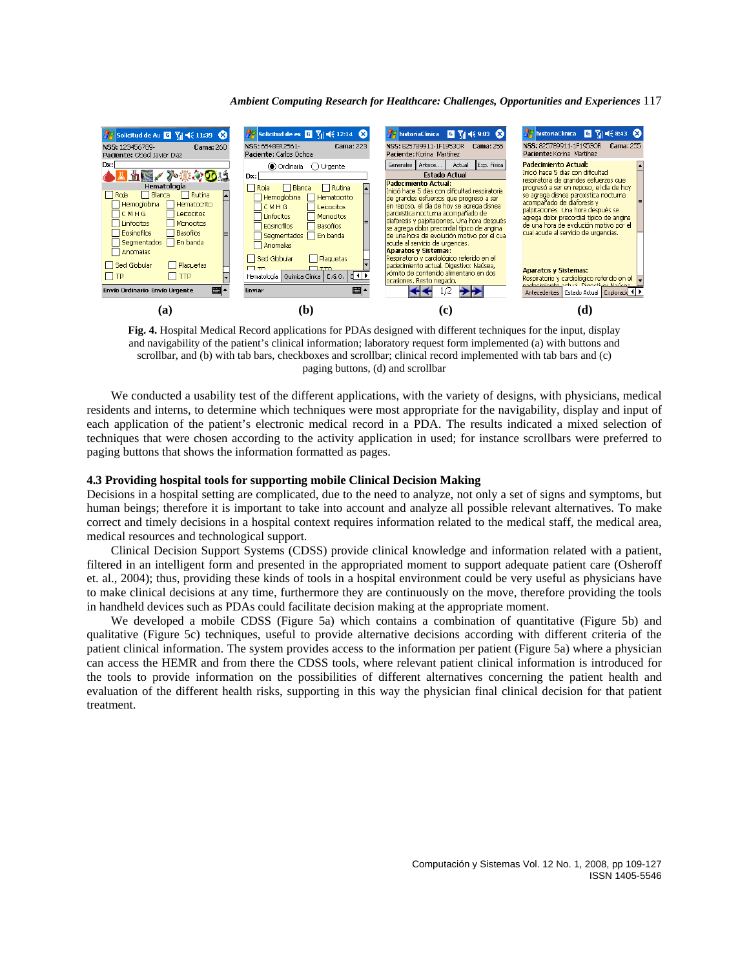

**Fig. 4.** Hospital Medical Record applications for PDAs designed with different techniques for the input, display and navigability of the patient's clinical information; laboratory request form implemented (a) with buttons and scrollbar, and (b) with tab bars, checkboxes and scrollbar; clinical record implemented with tab bars and (c) paging buttons, (d) and scrollbar

We conducted a usability test of the different applications, with the variety of designs, with physicians, medical residents and interns, to determine which techniques were most appropriate for the navigability, display and input of each application of the patient's electronic medical record in a PDA. The results indicated a mixed selection of techniques that were chosen according to the activity application in used; for instance scrollbars were preferred to paging buttons that shows the information formatted as pages.

### **4.3 Providing hospital tools for supporting mobile Clinical Decision Making**

Decisions in a hospital setting are complicated, due to the need to analyze, not only a set of signs and symptoms, but human beings; therefore it is important to take into account and analyze all possible relevant alternatives. To make correct and timely decisions in a hospital context requires information related to the medical staff, the medical area, medical resources and technological support.

Clinical Decision Support Systems (CDSS) provide clinical knowledge and information related with a patient, filtered in an intelligent form and presented in the appropriated moment to support adequate patient care (Osheroff et. al., 2004); thus, providing these kinds of tools in a hospital environment could be very useful as physicians have to make clinical decisions at any time, furthermore they are continuously on the move, therefore providing the tools in handheld devices such as PDAs could facilitate decision making at the appropriate moment.

We developed a mobile CDSS (Figure 5a) which contains a combination of quantitative (Figure 5b) and qualitative (Figure 5c) techniques, useful to provide alternative decisions according with different criteria of the patient clinical information. The system provides access to the information per patient (Figure 5a) where a physician can access the HEMR and from there the CDSS tools, where relevant patient clinical information is introduced for the tools to provide information on the possibilities of different alternatives concerning the patient health and evaluation of the different health risks, supporting in this way the physician final clinical decision for that patient treatment.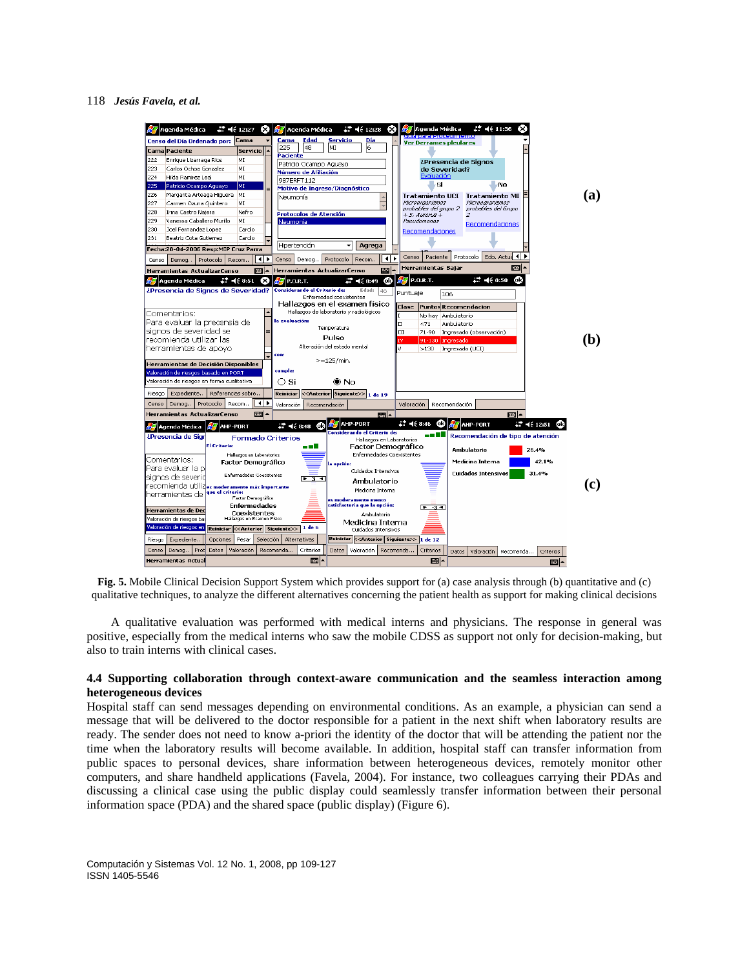

**Fig. 5.** Mobile Clinical Decision Support System which provides support for (a) case analysis through (b) quantitative and (c) qualitative techniques, to analyze the different alternatives concerning the patient health as support for making clinical decisions

A qualitative evaluation was performed with medical interns and physicians. The response in general was positive, especially from the medical interns who saw the mobile CDSS as support not only for decision-making, but also to train interns with clinical cases.

# **4.4 Supporting collaboration through context-aware communication and the seamless interaction among heterogeneous devices**

Hospital staff can send messages depending on environmental conditions. As an example, a physician can send a message that will be delivered to the doctor responsible for a patient in the next shift when laboratory results are ready. The sender does not need to know a-priori the identity of the doctor that will be attending the patient nor the time when the laboratory results will become available. In addition, hospital staff can transfer information from public spaces to personal devices, share information between heterogeneous devices, remotely monitor other computers, and share handheld applications (Favela, 2004). For instance, two colleagues carrying their PDAs and discussing a clinical case using the public display could seamlessly transfer information between their personal information space (PDA) and the shared space (public display) (Figure 6).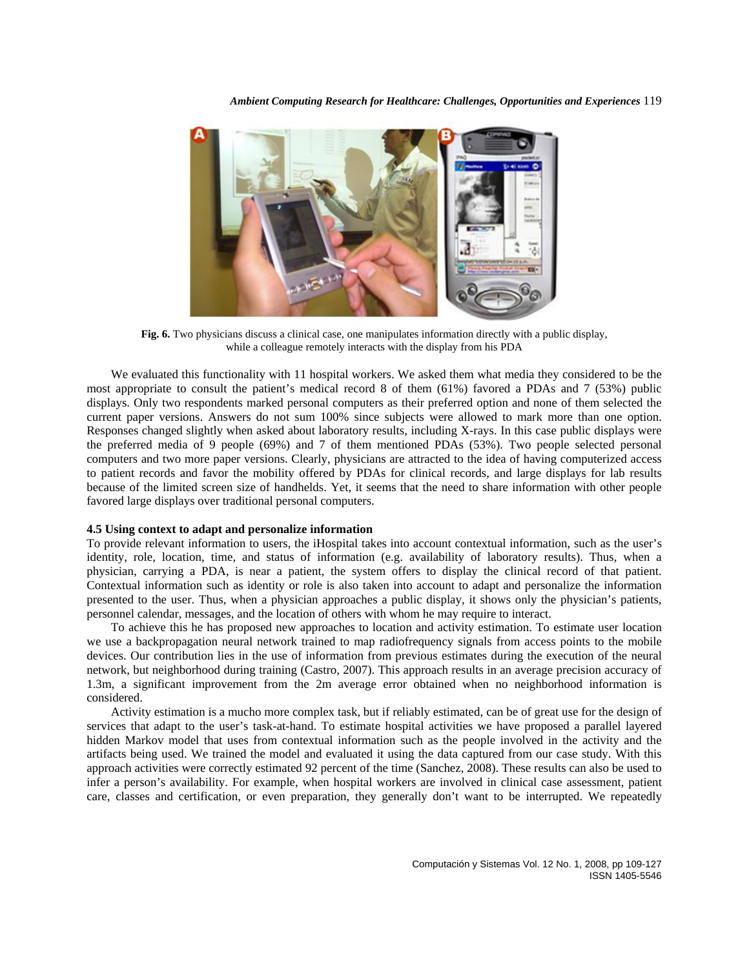

**Fig. 6.** Two physicians discuss a clinical case, one manipulates information directly with a public display, while a colleague remotely interacts with the display from his PDA

We evaluated this functionality with 11 hospital workers. We asked them what media they considered to be the most appropriate to consult the patient's medical record 8 of them (61%) favored a PDAs and 7 (53%) public displays. Only two respondents marked personal computers as their preferred option and none of them selected the current paper versions. Answers do not sum 100% since subjects were allowed to mark more than one option. Responses changed slightly when asked about laboratory results, including X-rays. In this case public displays were the preferred media of 9 people (69%) and 7 of them mentioned PDAs (53%). Two people selected personal computers and two more paper versions. Clearly, physicians are attracted to the idea of having computerized access to patient records and favor the mobility offered by PDAs for clinical records, and large displays for lab results because of the limited screen size of handhelds. Yet, it seems that the need to share information with other people favored large displays over traditional personal computers.

### **4.5 Using context to adapt and personalize information**

To provide relevant information to users, the iHospital takes into account contextual information, such as the user's identity, role, location, time, and status of information (e.g. availability of laboratory results). Thus, when a physician, carrying a PDA, is near a patient, the system offers to display the clinical record of that patient. Contextual information such as identity or role is also taken into account to adapt and personalize the information presented to the user. Thus, when a physician approaches a public display, it shows only the physician's patients, personnel calendar, messages, and the location of others with whom he may require to interact.

To achieve this he has proposed new approaches to location and activity estimation. To estimate user location we use a backpropagation neural network trained to map radiofrequency signals from access points to the mobile devices. Our contribution lies in the use of information from previous estimates during the execution of the neural network, but neighborhood during training (Castro, 2007). This approach results in an average precision accuracy of 1.3m, a significant improvement from the 2m average error obtained when no neighborhood information is considered.

Activity estimation is a mucho more complex task, but if reliably estimated, can be of great use for the design of services that adapt to the user's task-at-hand. To estimate hospital activities we have proposed a parallel layered hidden Markov model that uses from contextual information such as the people involved in the activity and the artifacts being used. We trained the model and evaluated it using the data captured from our case study. With this approach activities were correctly estimated 92 percent of the time (Sanchez, 2008). These results can also be used to infer a person's availability. For example, when hospital workers are involved in clinical case assessment, patient care, classes and certification, or even preparation, they generally don't want to be interrupted. We repeatedly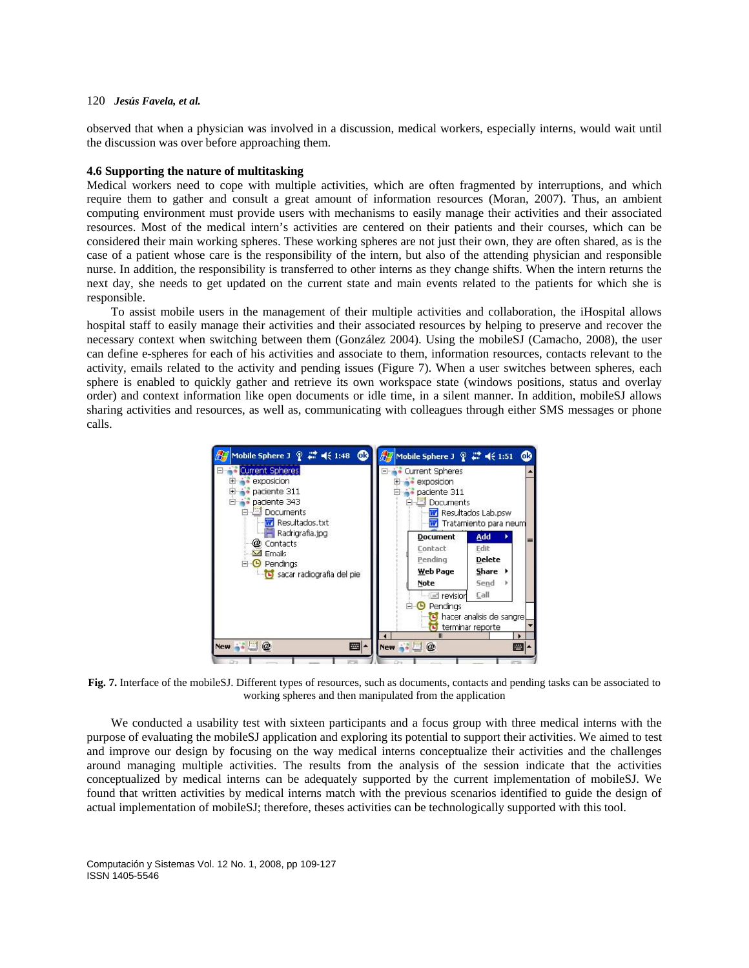observed that when a physician was involved in a discussion, medical workers, especially interns, would wait until the discussion was over before approaching them.

### **4.6 Supporting the nature of multitasking**

Medical workers need to cope with multiple activities, which are often fragmented by interruptions, and which require them to gather and consult a great amount of information resources (Moran, 2007). Thus, an ambient computing environment must provide users with mechanisms to easily manage their activities and their associated resources. Most of the medical intern's activities are centered on their patients and their courses, which can be considered their main working spheres. These working spheres are not just their own, they are often shared, as is the case of a patient whose care is the responsibility of the intern, but also of the attending physician and responsible nurse. In addition, the responsibility is transferred to other interns as they change shifts. When the intern returns the next day, she needs to get updated on the current state and main events related to the patients for which she is responsible.

To assist mobile users in the management of their multiple activities and collaboration, the iHospital allows hospital staff to easily manage their activities and their associated resources by helping to preserve and recover the necessary context when switching between them (González 2004). Using the mobileSJ (Camacho, 2008), the user can define e-spheres for each of his activities and associate to them, information resources, contacts relevant to the activity, emails related to the activity and pending issues (Figure 7). When a user switches between spheres, each sphere is enabled to quickly gather and retrieve its own workspace state (windows positions, status and overlay order) and context information like open documents or idle time, in a silent manner. In addition, mobileSJ allows sharing activities and resources, as well as, communicating with colleagues through either SMS messages or phone calls.



**Fig. 7.** Interface of the mobileSJ. Different types of resources, such as documents, contacts and pending tasks can be associated to working spheres and then manipulated from the application

We conducted a usability test with sixteen participants and a focus group with three medical interns with the purpose of evaluating the mobileSJ application and exploring its potential to support their activities. We aimed to test and improve our design by focusing on the way medical interns conceptualize their activities and the challenges around managing multiple activities. The results from the analysis of the session indicate that the activities conceptualized by medical interns can be adequately supported by the current implementation of mobileSJ. We found that written activities by medical interns match with the previous scenarios identified to guide the design of actual implementation of mobileSJ; therefore, theses activities can be technologically supported with this tool.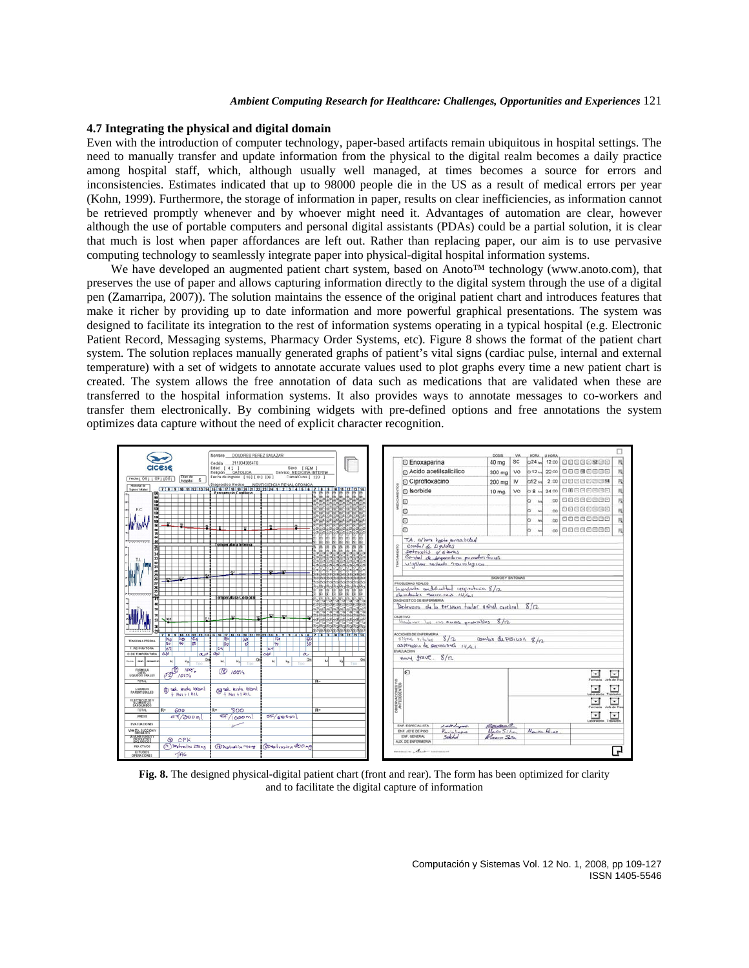### **4.7 Integrating the physical and digital domain**

Even with the introduction of computer technology, paper-based artifacts remain ubiquitous in hospital settings. The need to manually transfer and update information from the physical to the digital realm becomes a daily practice among hospital staff, which, although usually well managed, at times becomes a source for errors and inconsistencies. Estimates indicated that up to 98000 people die in the US as a result of medical errors per year (Kohn, 1999). Furthermore, the storage of information in paper, results on clear inefficiencies, as information cannot be retrieved promptly whenever and by whoever might need it. Advantages of automation are clear, however although the use of portable computers and personal digital assistants (PDAs) could be a partial solution, it is clear that much is lost when paper affordances are left out. Rather than replacing paper, our aim is to use pervasive computing technology to seamlessly integrate paper into physical-digital hospital information systems.

We have developed an augmented patient chart system, based on Anoto™ technology (www.anoto.com), that preserves the use of paper and allows capturing information directly to the digital system through the use of a digital pen (Zamarripa, 2007)). The solution maintains the essence of the original patient chart and introduces features that make it richer by providing up to date information and more powerful graphical presentations. The system was designed to facilitate its integration to the rest of information systems operating in a typical hospital (e.g. Electronic Patient Record, Messaging systems, Pharmacy Order Systems, etc). Figure 8 shows the format of the patient chart system. The solution replaces manually generated graphs of patient's vital signs (cardiac pulse, internal and external temperature) with a set of widgets to annotate accurate values used to plot graphs every time a new patient chart is created. The system allows the free annotation of data such as medications that are validated when these are transferred to the hospital information systems. It also provides ways to annotate messages to co-workers and transfer them electronically. By combining widgets with pre-defined options and free annotations the system optimizes data capture without the need of explicit character recognition.



**Fig. 8.** The designed physical-digital patient chart (front and rear). The form has been optimized for clarity and to facilitate the digital capture of information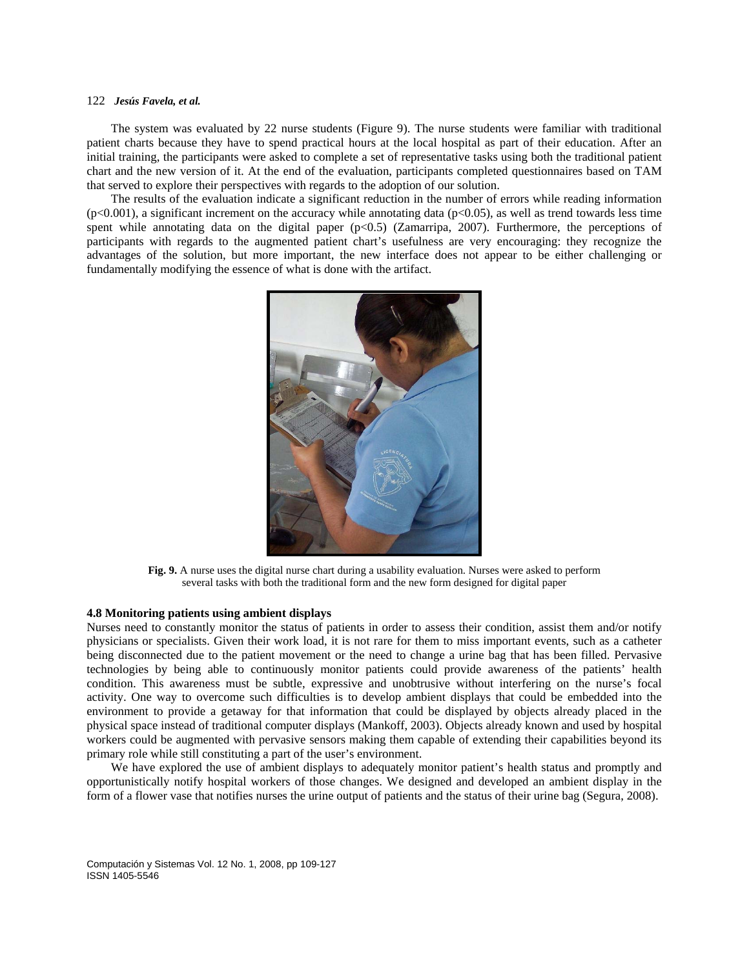The system was evaluated by 22 nurse students (Figure 9). The nurse students were familiar with traditional patient charts because they have to spend practical hours at the local hospital as part of their education. After an initial training, the participants were asked to complete a set of representative tasks using both the traditional patient chart and the new version of it. At the end of the evaluation, participants completed questionnaires based on TAM that served to explore their perspectives with regards to the adoption of our solution.

The results of the evaluation indicate a significant reduction in the number of errors while reading information  $(p<0.001)$ , a significant increment on the accuracy while annotating data  $(p<0.05)$ , as well as trend towards less time spent while annotating data on the digital paper  $(p<0.5)$  (Zamarripa, 2007). Furthermore, the perceptions of participants with regards to the augmented patient chart's usefulness are very encouraging: they recognize the advantages of the solution, but more important, the new interface does not appear to be either challenging or fundamentally modifying the essence of what is done with the artifact.



**Fig. 9.** A nurse uses the digital nurse chart during a usability evaluation. Nurses were asked to perform several tasks with both the traditional form and the new form designed for digital paper

### **4.8 Monitoring patients using ambient displays**

Nurses need to constantly monitor the status of patients in order to assess their condition, assist them and/or notify physicians or specialists. Given their work load, it is not rare for them to miss important events, such as a catheter being disconnected due to the patient movement or the need to change a urine bag that has been filled. Pervasive technologies by being able to continuously monitor patients could provide awareness of the patients' health condition. This awareness must be subtle, expressive and unobtrusive without interfering on the nurse's focal activity. One way to overcome such difficulties is to develop ambient displays that could be embedded into the environment to provide a getaway for that information that could be displayed by objects already placed in the physical space instead of traditional computer displays (Mankoff, 2003). Objects already known and used by hospital workers could be augmented with pervasive sensors making them capable of extending their capabilities beyond its primary role while still constituting a part of the user's environment.

We have explored the use of ambient displays to adequately monitor patient's health status and promptly and opportunistically notify hospital workers of those changes. We designed and developed an ambient display in the form of a flower vase that notifies nurses the urine output of patients and the status of their urine bag (Segura, 2008).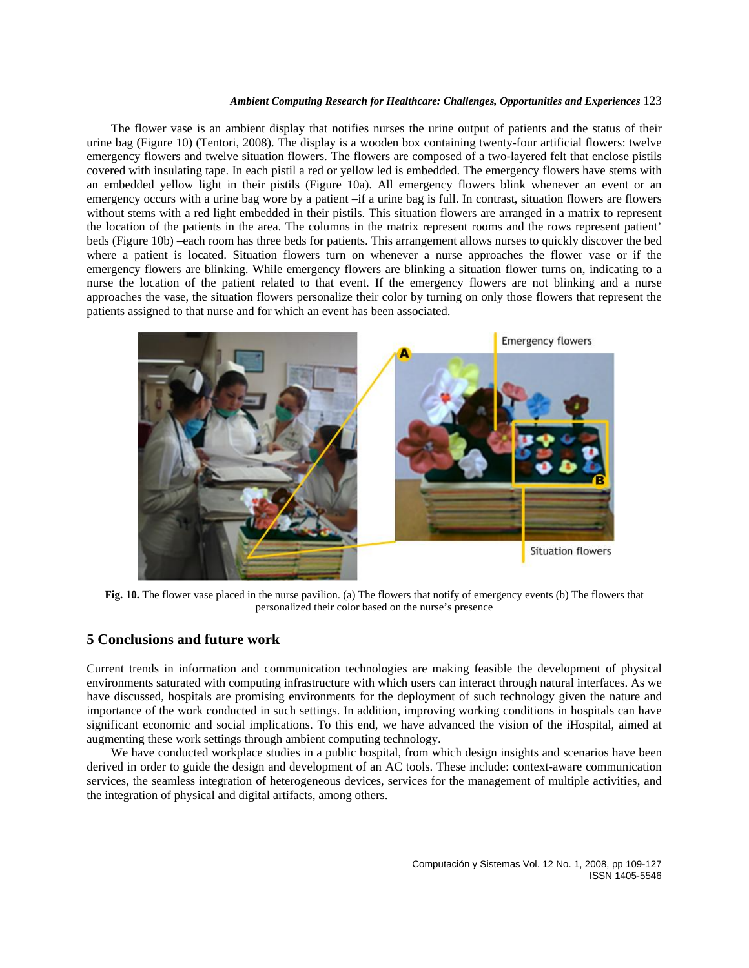The flower vase is an ambient display that notifies nurses the urine output of patients and the status of their urine bag (Figure 10) (Tentori, 2008). The display is a wooden box containing twenty-four artificial flowers: twelve emergency flowers and twelve situation flowers. The flowers are composed of a two-layered felt that enclose pistils covered with insulating tape. In each pistil a red or yellow led is embedded. The emergency flowers have stems with an embedded yellow light in their pistils (Figure 10a). All emergency flowers blink whenever an event or an emergency occurs with a urine bag wore by a patient –if a urine bag is full. In contrast, situation flowers are flowers without stems with a red light embedded in their pistils. This situation flowers are arranged in a matrix to represent the location of the patients in the area. The columns in the matrix represent rooms and the rows represent patient' beds (Figure 10b) –each room has three beds for patients. This arrangement allows nurses to quickly discover the bed where a patient is located. Situation flowers turn on whenever a nurse approaches the flower vase or if the emergency flowers are blinking. While emergency flowers are blinking a situation flower turns on, indicating to a nurse the location of the patient related to that event. If the emergency flowers are not blinking and a nurse approaches the vase, the situation flowers personalize their color by turning on only those flowers that represent the patients assigned to that nurse and for which an event has been associated.



**Fig. 10.** The flower vase placed in the nurse pavilion. (a) The flowers that notify of emergency events (b) The flowers that personalized their color based on the nurse's presence

# **5 Conclusions and future work**

Current trends in information and communication technologies are making feasible the development of physical environments saturated with computing infrastructure with which users can interact through natural interfaces. As we have discussed, hospitals are promising environments for the deployment of such technology given the nature and importance of the work conducted in such settings. In addition, improving working conditions in hospitals can have significant economic and social implications. To this end, we have advanced the vision of the iHospital, aimed at augmenting these work settings through ambient computing technology.

We have conducted workplace studies in a public hospital, from which design insights and scenarios have been derived in order to guide the design and development of an AC tools. These include: context-aware communication services, the seamless integration of heterogeneous devices, services for the management of multiple activities, and the integration of physical and digital artifacts, among others.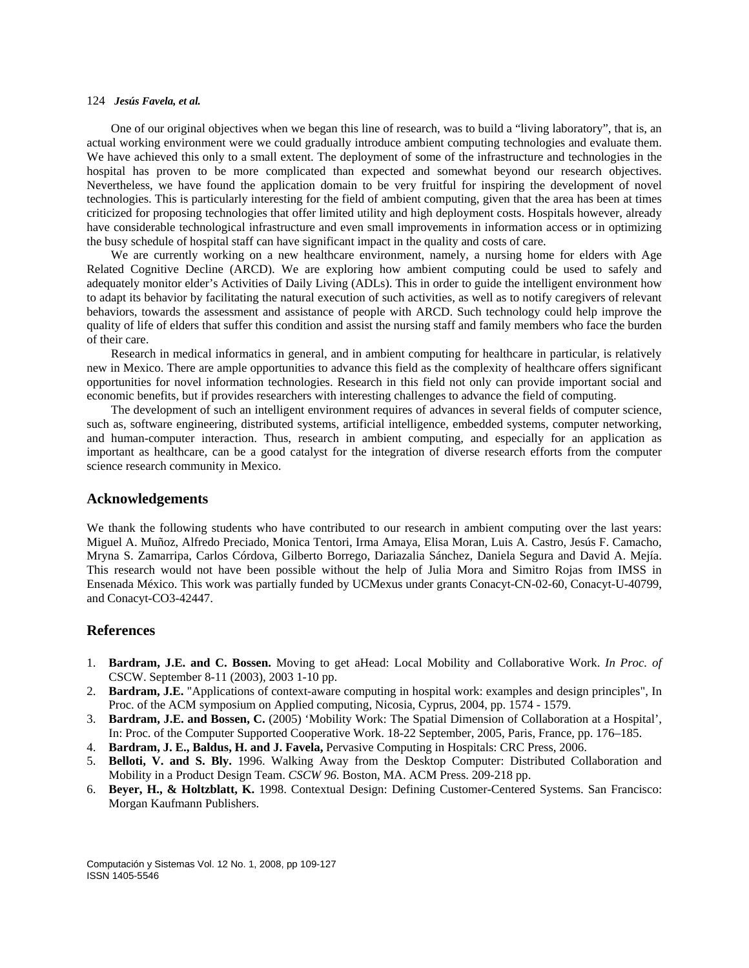One of our original objectives when we began this line of research, was to build a "living laboratory", that is, an actual working environment were we could gradually introduce ambient computing technologies and evaluate them. We have achieved this only to a small extent. The deployment of some of the infrastructure and technologies in the hospital has proven to be more complicated than expected and somewhat beyond our research objectives. Nevertheless, we have found the application domain to be very fruitful for inspiring the development of novel technologies. This is particularly interesting for the field of ambient computing, given that the area has been at times criticized for proposing technologies that offer limited utility and high deployment costs. Hospitals however, already have considerable technological infrastructure and even small improvements in information access or in optimizing the busy schedule of hospital staff can have significant impact in the quality and costs of care.

We are currently working on a new healthcare environment, namely, a nursing home for elders with Age Related Cognitive Decline (ARCD). We are exploring how ambient computing could be used to safely and adequately monitor elder's Activities of Daily Living (ADLs). This in order to guide the intelligent environment how to adapt its behavior by facilitating the natural execution of such activities, as well as to notify caregivers of relevant behaviors, towards the assessment and assistance of people with ARCD. Such technology could help improve the quality of life of elders that suffer this condition and assist the nursing staff and family members who face the burden of their care.

Research in medical informatics in general, and in ambient computing for healthcare in particular, is relatively new in Mexico. There are ample opportunities to advance this field as the complexity of healthcare offers significant opportunities for novel information technologies. Research in this field not only can provide important social and economic benefits, but if provides researchers with interesting challenges to advance the field of computing.

The development of such an intelligent environment requires of advances in several fields of computer science, such as, software engineering, distributed systems, artificial intelligence, embedded systems, computer networking, and human-computer interaction. Thus, research in ambient computing, and especially for an application as important as healthcare, can be a good catalyst for the integration of diverse research efforts from the computer science research community in Mexico.

# **Acknowledgements**

We thank the following students who have contributed to our research in ambient computing over the last years: Miguel A. Muñoz, Alfredo Preciado, Monica Tentori, Irma Amaya, Elisa Moran, Luis A. Castro, Jesús F. Camacho, Mryna S. Zamarripa, Carlos Córdova, Gilberto Borrego, Dariazalia Sánchez, Daniela Segura and David A. Mejía. This research would not have been possible without the help of Julia Mora and Simitro Rojas from IMSS in Ensenada México. This work was partially funded by UCMexus under grants Conacyt-CN-02-60, Conacyt-U-40799, and Conacyt-CO3-42447.

# **References**

- 1. **Bardram, J.E. and C. Bossen.** Moving to get aHead: Local Mobility and Collaborative Work. *In Proc. of*  CSCW. September 8-11 (2003), 2003 1-10 pp.
- 2. **Bardram, J.E.** "Applications of context-aware computing in hospital work: examples and design principles", In Proc. of the ACM symposium on Applied computing, Nicosia, Cyprus, 2004, pp. 1574 - 1579.
- 3. **Bardram, J.E. and Bossen, C.** (2005) 'Mobility Work: The Spatial Dimension of Collaboration at a Hospital', In: Proc. of the Computer Supported Cooperative Work. 18-22 September, 2005, Paris, France, pp. 176–185.
- 4. **Bardram, J. E., Baldus, H. and J. Favela,** Pervasive Computing in Hospitals: CRC Press, 2006.
- 5. **Belloti, V. and S. Bly.** 1996. Walking Away from the Desktop Computer: Distributed Collaboration and Mobility in a Product Design Team. *CSCW 96*. Boston, MA. ACM Press. 209-218 pp.
- 6. **Beyer, H., & Holtzblatt, K.** 1998. Contextual Design: Defining Customer-Centered Systems. San Francisco: Morgan Kaufmann Publishers.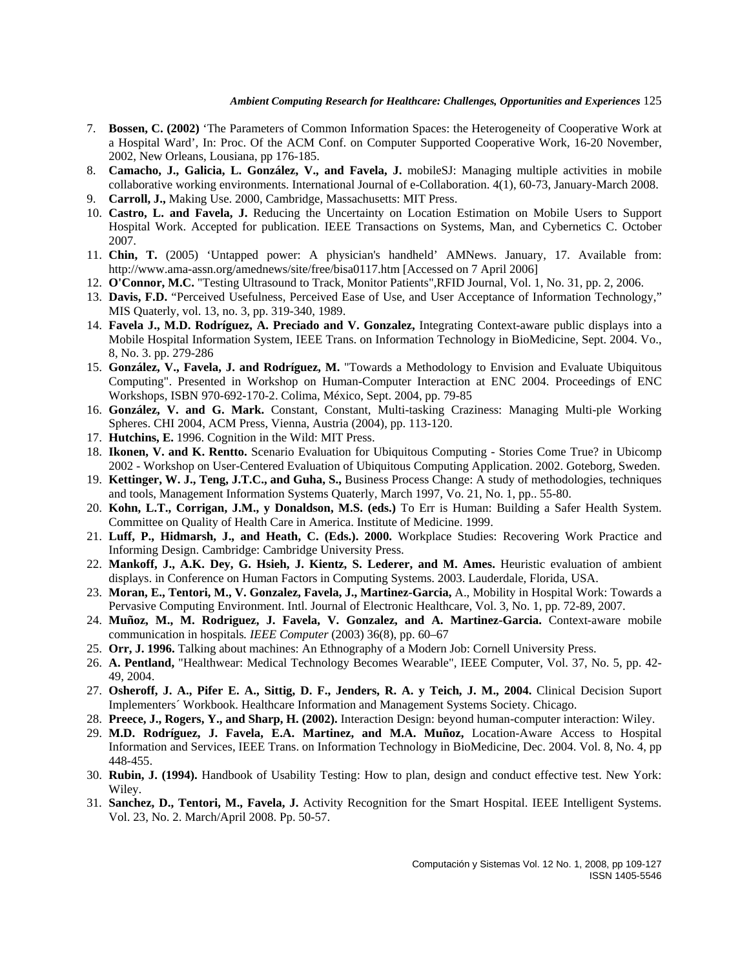- 7. **Bossen, C. (2002)** 'The Parameters of Common Information Spaces: the Heterogeneity of Cooperative Work at a Hospital Ward', In: Proc. Of the ACM Conf. on Computer Supported Cooperative Work, 16-20 November, 2002, New Orleans, Lousiana, pp 176-185.
- 8. **Camacho, J., Galicia, L. González, V., and Favela, J.** mobileSJ: Managing multiple activities in mobile collaborative working environments. International Journal of e-Collaboration. 4(1), 60-73, January-March 2008.
- 9. **Carroll, J.,** Making Use. 2000, Cambridge, Massachusetts: MIT Press.
- 10. **Castro, L. and Favela, J.** Reducing the Uncertainty on Location Estimation on Mobile Users to Support Hospital Work. Accepted for publication. IEEE Transactions on Systems, Man, and Cybernetics C. October 2007.
- 11. **Chin, T.** (2005) 'Untapped power: A physician's handheld' AMNews. January, 17. Available from: http://www.ama-assn.org/amednews/site/free/bisa0117.htm [Accessed on 7 April 2006]
- 12. **O'Connor, M.C.** "Testing Ultrasound to Track, Monitor Patients",RFID Journal, Vol. 1, No. 31, pp. 2, 2006.
- 13. **Davis, F.D.** "Perceived Usefulness, Perceived Ease of Use, and User Acceptance of Information Technology," MIS Quaterly, vol. 13, no. 3, pp. 319-340, 1989.
- 14. **Favela J., M.D. Rodríguez, A. Preciado and V. Gonzalez,** Integrating Context-aware public displays into a Mobile Hospital Information System, IEEE Trans. on Information Technology in BioMedicine, Sept. 2004. Vo., 8, No. 3. pp. 279-286
- 15. **González, V., Favela, J. and Rodríguez, M.** "Towards a Methodology to Envision and Evaluate Ubiquitous Computing". Presented in Workshop on Human-Computer Interaction at ENC 2004. Proceedings of ENC Workshops, ISBN 970-692-170-2. Colima, México, Sept. 2004, pp. 79-85
- 16. **González, V. and G. Mark.** Constant, Constant, Multi-tasking Craziness: Managing Multi-ple Working Spheres. CHI 2004, ACM Press, Vienna, Austria (2004), pp. 113-120.
- 17. **Hutchins, E.** 1996. Cognition in the Wild: MIT Press.
- 18. **Ikonen, V. and K. Rentto.** Scenario Evaluation for Ubiquitous Computing Stories Come True? in Ubicomp 2002 - Workshop on User-Centered Evaluation of Ubiquitous Computing Application. 2002. Goteborg, Sweden.
- 19. **Kettinger, W. J., Teng, J.T.C., and Guha, S.,** Business Process Change: A study of methodologies, techniques and tools, Management Information Systems Quaterly, March 1997, Vo. 21, No. 1, pp.. 55-80.
- 20. **Kohn, L.T., Corrigan, J.M., y Donaldson, M.S. (eds.)** To Err is Human: Building a Safer Health System. Committee on Quality of Health Care in America. Institute of Medicine. 1999.
- 21. **Luff, P., Hidmarsh, J., and Heath, C. (Eds.). 2000.** Workplace Studies: Recovering Work Practice and Informing Design. Cambridge: Cambridge University Press.
- 22. **Mankoff, J., A.K. Dey, G. Hsieh, J. Kientz, S. Lederer, and M. Ames.** Heuristic evaluation of ambient displays. in Conference on Human Factors in Computing Systems. 2003. Lauderdale, Florida, USA.
- 23. **Moran, E., Tentori, M., V. Gonzalez, Favela, J., Martinez-Garcia,** A., Mobility in Hospital Work: Towards a Pervasive Computing Environment. Intl. Journal of Electronic Healthcare, Vol. 3, No. 1, pp. 72-89, 2007.
- 24. **Muñoz, M., M. Rodriguez, J. Favela, V. Gonzalez, and A. Martinez-Garcia.** Context-aware mobile communication in hospitals*. IEEE Computer* (2003) 36(8), pp. 60–67
- 25. **Orr, J. 1996.** Talking about machines: An Ethnography of a Modern Job: Cornell University Press.
- 26. **A. Pentland,** "Healthwear: Medical Technology Becomes Wearable", IEEE Computer, Vol. 37, No. 5, pp. 42- 49, 2004.
- 27. **Osheroff, J. A., Pifer E. A., Sittig, D. F., Jenders, R. A. y Teich, J. M., 2004.** Clinical Decision Suport Implementers´ Workbook. Healthcare Information and Management Systems Society. Chicago.
- 28. **Preece, J., Rogers, Y., and Sharp, H. (2002).** Interaction Design: beyond human-computer interaction: Wiley.
- 29. **M.D. Rodríguez, J. Favela, E.A. Martinez, and M.A. Muñoz,** Location-Aware Access to Hospital Information and Services, IEEE Trans. on Information Technology in BioMedicine, Dec. 2004. Vol. 8, No. 4, pp 448-455.
- 30. **Rubin, J. (1994).** Handbook of Usability Testing: How to plan, design and conduct effective test. New York: Wiley.
- 31. **Sanchez, D., Tentori, M., Favela, J.** Activity Recognition for the Smart Hospital. IEEE Intelligent Systems. Vol. 23, No. 2. March/April 2008. Pp. 50-57.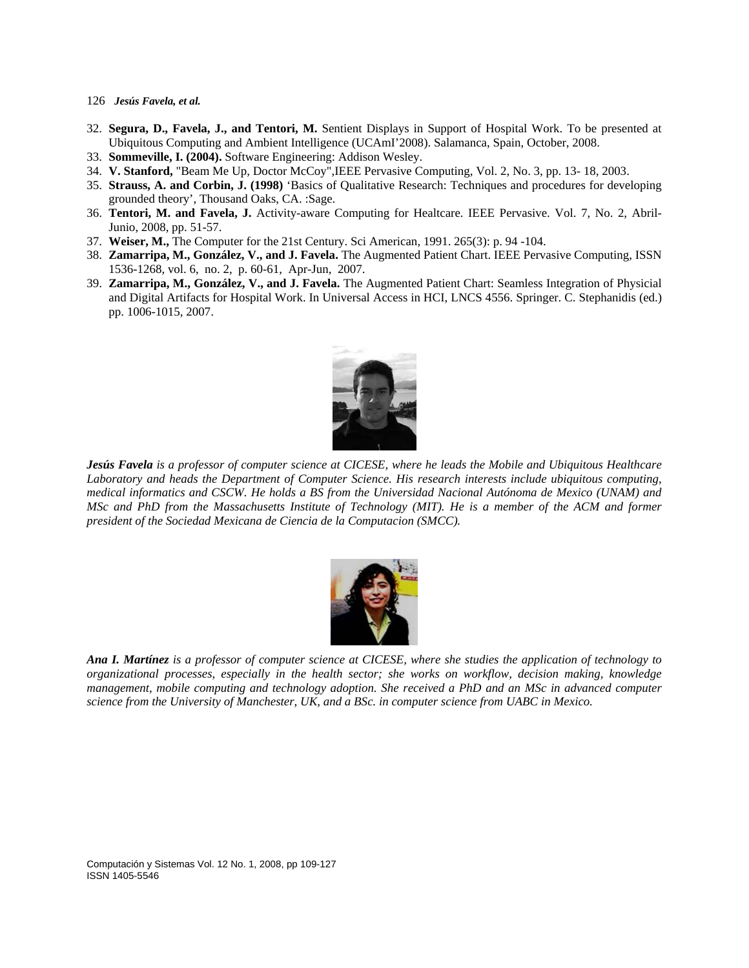- 126 *Jesús Favela, et al.*
- 32. **Segura, D., Favela, J., and Tentori, M.** Sentient Displays in Support of Hospital Work. To be presented at Ubiquitous Computing and Ambient Intelligence (UCAmI'2008). Salamanca, Spain, October, 2008.
- 33. **Sommeville, I. (2004).** Software Engineering: Addison Wesley.
- 34. **V. Stanford,** "Beam Me Up, Doctor McCoy",IEEE Pervasive Computing, Vol. 2, No. 3, pp. 13- 18, 2003.
- 35. **Strauss, A. and Corbin, J. (1998)** 'Basics of Qualitative Research: Techniques and procedures for developing grounded theory', Thousand Oaks, CA. :Sage.
- 36. **Tentori, M. and Favela, J.** Activity-aware Computing for Healtcare. IEEE Pervasive. Vol. 7, No. 2, Abril-Junio, 2008, pp. 51-57.
- 37. **Weiser, M.,** The Computer for the 21st Century. Sci American, 1991. 265(3): p. 94 -104.
- 38. **Zamarripa, M., González, V., and J. Favela.** The Augmented Patient Chart. IEEE Pervasive Computing, ISSN 1536-1268, vol. 6, no. 2, p. 60-61, Apr-Jun, 2007.
- 39. **Zamarripa, M., González, V., and J. Favela.** The Augmented Patient Chart: Seamless Integration of Physicial and Digital Artifacts for Hospital Work. In Universal Access in HCI, LNCS 4556. Springer. C. Stephanidis (ed.) pp. 1006-1015, 2007.



*Jesús Favela is a professor of computer science at CICESE, where he leads the Mobile and Ubiquitous Healthcare Laboratory and heads the Department of Computer Science. His research interests include ubiquitous computing, medical informatics and CSCW. He holds a BS from the Universidad Nacional Autónoma de Mexico (UNAM) and MSc and PhD from the Massachusetts Institute of Technology (MIT). He is a member of the ACM and former president of the Sociedad Mexicana de Ciencia de la Computacion (SMCC).* 



*Ana I. Martínez is a professor of computer science at CICESE, where she studies the application of technology to organizational processes, especially in the health sector; she works on workflow, decision making, knowledge management, mobile computing and technology adoption. She received a PhD and an MSc in advanced computer science from the University of Manchester, UK, and a BSc. in computer science from UABC in Mexico.*